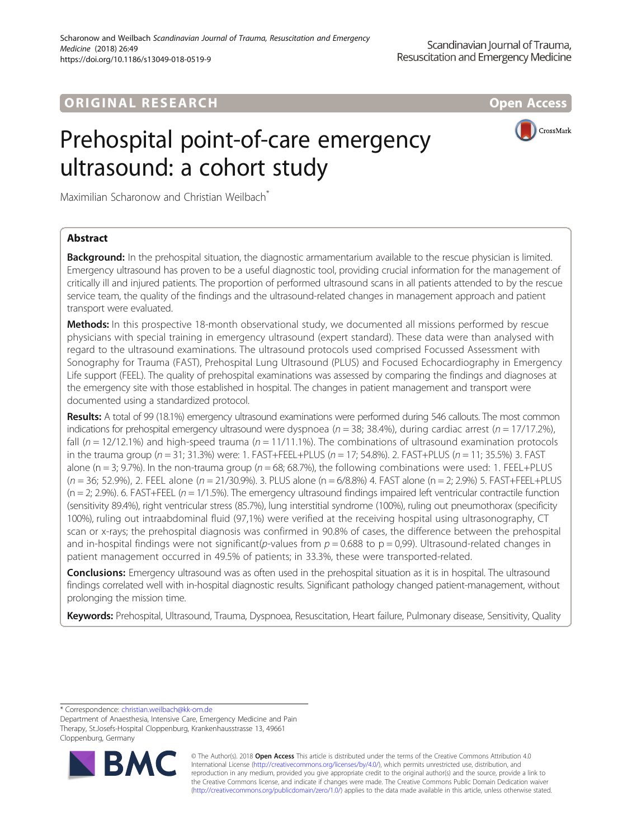# **ORIGINAL RESEARCH AND LOCAL CONSUMING A LOCAL CONSUMING A LOCAL CONSUMING A LOCAL CONSUMING A LOCAL CONSUMING**





Maximilian Scharonow and Christian Weilbach<sup>\*</sup>

# Abstract

Background: In the prehospital situation, the diagnostic armamentarium available to the rescue physician is limited. Emergency ultrasound has proven to be a useful diagnostic tool, providing crucial information for the management of critically ill and injured patients. The proportion of performed ultrasound scans in all patients attended to by the rescue service team, the quality of the findings and the ultrasound-related changes in management approach and patient transport were evaluated.

Methods: In this prospective 18-month observational study, we documented all missions performed by rescue physicians with special training in emergency ultrasound (expert standard). These data were than analysed with regard to the ultrasound examinations. The ultrasound protocols used comprised Focussed Assessment with Sonography for Trauma (FAST), Prehospital Lung Ultrasound (PLUS) and Focused Echocardiography in Emergency Life support (FEEL). The quality of prehospital examinations was assessed by comparing the findings and diagnoses at the emergency site with those established in hospital. The changes in patient management and transport were documented using a standardized protocol.

Results: A total of 99 (18.1%) emergency ultrasound examinations were performed during 546 callouts. The most common indications for prehospital emergency ultrasound were dyspnoea ( $n = 38$ ; 38.4%), during cardiac arrest ( $n = 17/17.2$ %), fall  $(n = 12/12.1%)$  and high-speed trauma  $(n = 11/11.1%)$ . The combinations of ultrasound examination protocols in the trauma group ( $n = 31$ ; 31.3%) were: 1. FAST+FEEL+PLUS ( $n = 17$ ; 54.8%). 2. FAST+PLUS ( $n = 11$ ; 35.5%) 3. FAST alone (n = 3; 9.7%). In the non-trauma group ( $n = 68$ ; 68.7%), the following combinations were used: 1. FEEL+PLUS (n = 36; 52.9%), 2. FEEL alone (n = 21/30.9%). 3. PLUS alone (n = 6/8.8%) 4. FAST alone (n = 2; 2.9%) 5. FAST+FEEL+PLUS  $(n = 2, 2.9%)$ . 6. FAST+FEEL  $(n = 1/1.5%)$ . The emergency ultrasound findings impaired left ventricular contractile function (sensitivity 89.4%), right ventricular stress (85.7%), lung interstitial syndrome (100%), ruling out pneumothorax (specificity 100%), ruling out intraabdominal fluid (97,1%) were verified at the receiving hospital using ultrasonography, CT scan or x-rays; the prehospital diagnosis was confirmed in 90.8% of cases, the difference between the prehospital and in-hospital findings were not significant(p-values from  $p = 0.688$  to  $p = 0.99$ ). Ultrasound-related changes in patient management occurred in 49.5% of patients; in 33.3%, these were transported-related.

**Conclusions:** Emergency ultrasound was as often used in the prehospital situation as it is in hospital. The ultrasound findings correlated well with in-hospital diagnostic results. Significant pathology changed patient-management, without prolonging the mission time.

Keywords: Prehospital, Ultrasound, Trauma, Dyspnoea, Resuscitation, Heart failure, Pulmonary disease, Sensitivity, Quality

\* Correspondence: [christian.weilbach@kk-om.de](mailto:christian.weilbach@kk-om.de)

Department of Anaesthesia, Intensive Care, Emergency Medicine and Pain Therapy, St.Josefs-Hospital Cloppenburg, Krankenhausstrasse 13, 49661 Cloppenburg, Germany



© The Author(s). 2018 Open Access This article is distributed under the terms of the Creative Commons Attribution 4.0 International License [\(http://creativecommons.org/licenses/by/4.0/](http://creativecommons.org/licenses/by/4.0/)), which permits unrestricted use, distribution, and reproduction in any medium, provided you give appropriate credit to the original author(s) and the source, provide a link to the Creative Commons license, and indicate if changes were made. The Creative Commons Public Domain Dedication waiver [\(http://creativecommons.org/publicdomain/zero/1.0/](http://creativecommons.org/publicdomain/zero/1.0/)) applies to the data made available in this article, unless otherwise stated.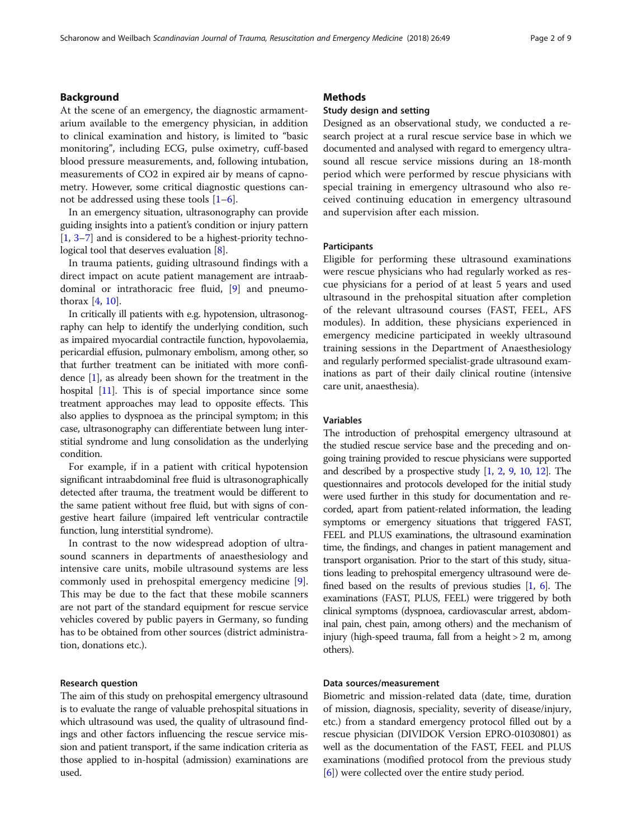# Background

At the scene of an emergency, the diagnostic armamentarium available to the emergency physician, in addition to clinical examination and history, is limited to "basic monitoring", including ECG, pulse oximetry, cuff-based blood pressure measurements, and, following intubation, measurements of CO2 in expired air by means of capnometry. However, some critical diagnostic questions cannot be addressed using these tools  $[1-6]$  $[1-6]$  $[1-6]$  $[1-6]$ .

In an emergency situation, ultrasonography can provide guiding insights into a patient's condition or injury pattern [[1,](#page-8-0) [3](#page-8-0)–[7](#page-8-0)] and is considered to be a highest-priority techno-logical tool that deserves evaluation [[8\]](#page-8-0).

In trauma patients, guiding ultrasound findings with a direct impact on acute patient management are intraabdominal or intrathoracic free fluid, [[9\]](#page-8-0) and pneumothorax [\[4](#page-8-0), [10](#page-8-0)].

In critically ill patients with e.g. hypotension, ultrasonography can help to identify the underlying condition, such as impaired myocardial contractile function, hypovolaemia, pericardial effusion, pulmonary embolism, among other, so that further treatment can be initiated with more confidence [\[1](#page-8-0)], as already been shown for the treatment in the hospital [\[11](#page-8-0)]. This is of special importance since some treatment approaches may lead to opposite effects. This also applies to dyspnoea as the principal symptom; in this case, ultrasonography can differentiate between lung interstitial syndrome and lung consolidation as the underlying condition.

For example, if in a patient with critical hypotension significant intraabdominal free fluid is ultrasonographically detected after trauma, the treatment would be different to the same patient without free fluid, but with signs of congestive heart failure (impaired left ventricular contractile function, lung interstitial syndrome).

In contrast to the now widespread adoption of ultrasound scanners in departments of anaesthesiology and intensive care units, mobile ultrasound systems are less commonly used in prehospital emergency medicine [\[9](#page-8-0)]. This may be due to the fact that these mobile scanners are not part of the standard equipment for rescue service vehicles covered by public payers in Germany, so funding has to be obtained from other sources (district administration, donations etc.).

### Research question

The aim of this study on prehospital emergency ultrasound is to evaluate the range of valuable prehospital situations in which ultrasound was used, the quality of ultrasound findings and other factors influencing the rescue service mission and patient transport, if the same indication criteria as those applied to in-hospital (admission) examinations are used.

# **Methods**

## Study design and setting

Designed as an observational study, we conducted a research project at a rural rescue service base in which we documented and analysed with regard to emergency ultrasound all rescue service missions during an 18-month period which were performed by rescue physicians with special training in emergency ultrasound who also received continuing education in emergency ultrasound and supervision after each mission.

### Participants

Eligible for performing these ultrasound examinations were rescue physicians who had regularly worked as rescue physicians for a period of at least 5 years and used ultrasound in the prehospital situation after completion of the relevant ultrasound courses (FAST, FEEL, AFS modules). In addition, these physicians experienced in emergency medicine participated in weekly ultrasound training sessions in the Department of Anaesthesiology and regularly performed specialist-grade ultrasound examinations as part of their daily clinical routine (intensive care unit, anaesthesia).

# Variables

The introduction of prehospital emergency ultrasound at the studied rescue service base and the preceding and ongoing training provided to rescue physicians were supported and described by a prospective study [\[1,](#page-8-0) [2,](#page-8-0) [9](#page-8-0), [10](#page-8-0), [12](#page-8-0)]. The questionnaires and protocols developed for the initial study were used further in this study for documentation and recorded, apart from patient-related information, the leading symptoms or emergency situations that triggered FAST, FEEL and PLUS examinations, the ultrasound examination time, the findings, and changes in patient management and transport organisation. Prior to the start of this study, situations leading to prehospital emergency ultrasound were defined based on the results of previous studies [\[1,](#page-8-0) [6\]](#page-8-0). The examinations (FAST, PLUS, FEEL) were triggered by both clinical symptoms (dyspnoea, cardiovascular arrest, abdominal pain, chest pain, among others) and the mechanism of injury (high-speed trauma, fall from a height > 2 m, among others).

# Data sources/measurement

Biometric and mission-related data (date, time, duration of mission, diagnosis, speciality, severity of disease/injury, etc.) from a standard emergency protocol filled out by a rescue physician (DIVIDOK Version EPRO-01030801) as well as the documentation of the FAST, FEEL and PLUS examinations (modified protocol from the previous study [[6\]](#page-8-0)) were collected over the entire study period.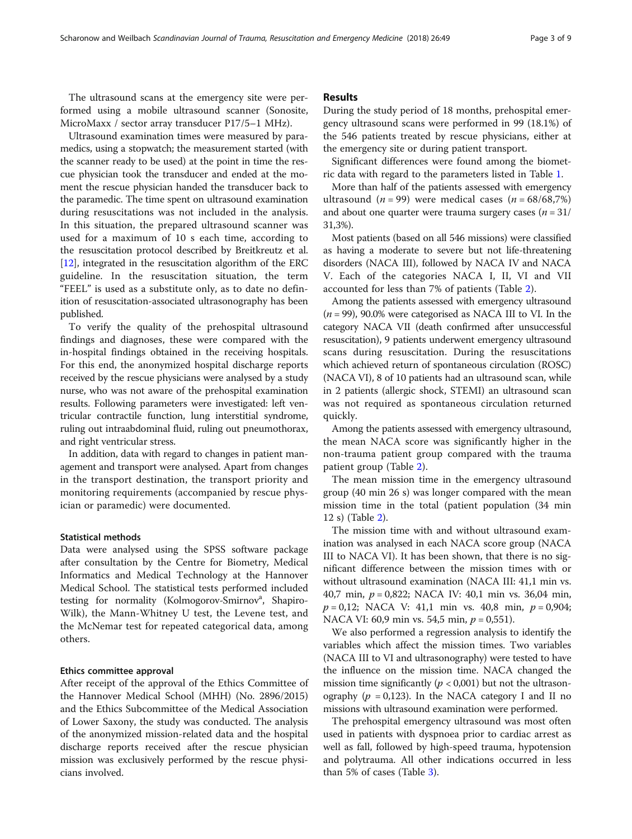The ultrasound scans at the emergency site were performed using a mobile ultrasound scanner (Sonosite, MicroMaxx / sector array transducer P17/5–1 MHz).

Ultrasound examination times were measured by paramedics, using a stopwatch; the measurement started (with the scanner ready to be used) at the point in time the rescue physician took the transducer and ended at the moment the rescue physician handed the transducer back to the paramedic. The time spent on ultrasound examination during resuscitations was not included in the analysis. In this situation, the prepared ultrasound scanner was used for a maximum of 10 s each time, according to the resuscitation protocol described by Breitkreutz et al. [[12](#page-8-0)], integrated in the resuscitation algorithm of the ERC guideline. In the resuscitation situation, the term "FEEL" is used as a substitute only, as to date no definition of resuscitation-associated ultrasonography has been published.

To verify the quality of the prehospital ultrasound findings and diagnoses, these were compared with the in-hospital findings obtained in the receiving hospitals. For this end, the anonymized hospital discharge reports received by the rescue physicians were analysed by a study nurse, who was not aware of the prehospital examination results. Following parameters were investigated: left ventricular contractile function, lung interstitial syndrome, ruling out intraabdominal fluid, ruling out pneumothorax, and right ventricular stress.

In addition, data with regard to changes in patient management and transport were analysed. Apart from changes in the transport destination, the transport priority and monitoring requirements (accompanied by rescue physician or paramedic) were documented.

### Statistical methods

Data were analysed using the SPSS software package after consultation by the Centre for Biometry, Medical Informatics and Medical Technology at the Hannover Medical School. The statistical tests performed included testing for normality (Kolmogorov-Smirnov<sup>a</sup>, Shapiro-Wilk), the Mann-Whitney U test, the Levene test, and the McNemar test for repeated categorical data, among others.

#### Ethics committee approval

After receipt of the approval of the Ethics Committee of the Hannover Medical School (MHH) (No. 2896/2015) and the Ethics Subcommittee of the Medical Association of Lower Saxony, the study was conducted. The analysis of the anonymized mission-related data and the hospital discharge reports received after the rescue physician mission was exclusively performed by the rescue physicians involved.

## Results

During the study period of 18 months, prehospital emergency ultrasound scans were performed in 99 (18.1%) of the 546 patients treated by rescue physicians, either at the emergency site or during patient transport.

Significant differences were found among the biometric data with regard to the parameters listed in Table [1](#page-3-0).

More than half of the patients assessed with emergency ultrasound  $(n = 99)$  were medical cases  $(n = 68/68,7%)$ and about one quarter were trauma surgery cases  $(n = 31)$ 31,3%).

Most patients (based on all 546 missions) were classified as having a moderate to severe but not life-threatening disorders (NACA III), followed by NACA IV and NACA V. Each of the categories NACA I, II, VI and VII accounted for less than 7% of patients (Table [2](#page-4-0)).

Among the patients assessed with emergency ultrasound  $(n = 99)$ , 90.0% were categorised as NACA III to VI. In the category NACA VII (death confirmed after unsuccessful resuscitation), 9 patients underwent emergency ultrasound scans during resuscitation. During the resuscitations which achieved return of spontaneous circulation (ROSC) (NACA VI), 8 of 10 patients had an ultrasound scan, while in 2 patients (allergic shock, STEMI) an ultrasound scan was not required as spontaneous circulation returned quickly.

Among the patients assessed with emergency ultrasound, the mean NACA score was significantly higher in the non-trauma patient group compared with the trauma patient group (Table [2\)](#page-4-0).

The mean mission time in the emergency ultrasound group (40 min 26 s) was longer compared with the mean mission time in the total (patient population (34 min 12 s) (Table [2\)](#page-4-0).

The mission time with and without ultrasound examination was analysed in each NACA score group (NACA III to NACA VI). It has been shown, that there is no significant difference between the mission times with or without ultrasound examination (NACA III: 41,1 min vs. 40,7 min, p = 0,822; NACA IV: 40,1 min vs. 36,04 min,  $p = 0.12$ ; NACA V: 41,1 min vs. 40,8 min,  $p = 0.904$ ; NACA VI: 60,9 min vs. 54,5 min,  $p = 0.551$ ).

We also performed a regression analysis to identify the variables which affect the mission times. Two variables (NACA III to VI and ultrasonography) were tested to have the influence on the mission time. NACA changed the mission time significantly ( $p < 0.001$ ) but not the ultrasonography ( $p = 0.123$ ). In the NACA category I and II no missions with ultrasound examination were performed.

The prehospital emergency ultrasound was most often used in patients with dyspnoea prior to cardiac arrest as well as fall, followed by high-speed trauma, hypotension and polytrauma. All other indications occurred in less than 5% of cases (Table [3\)](#page-5-0).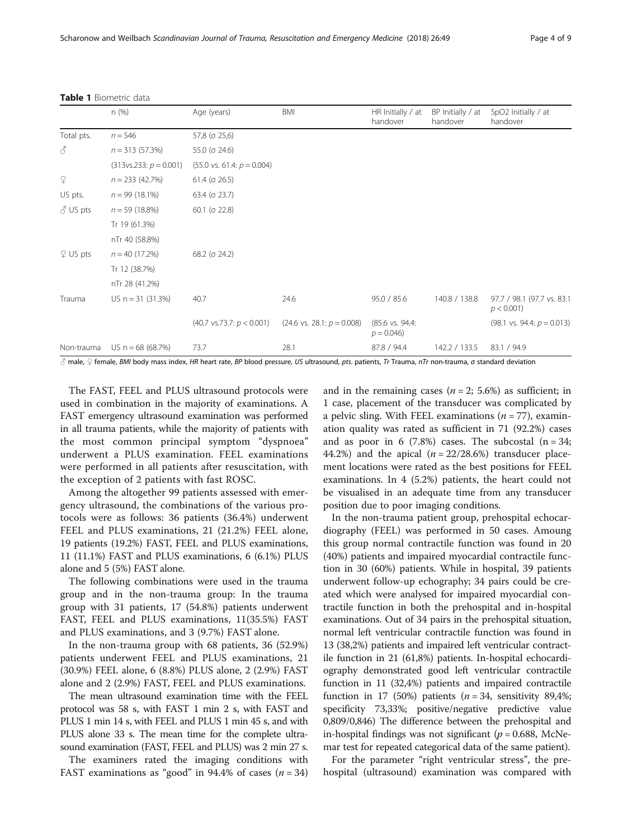|                 | n (%)                    | Age (years)                           | BMI                                   | HR Initially / at<br>handover  | BP Initially / at<br>handover | SpO2 Initially / at<br>handover             |
|-----------------|--------------------------|---------------------------------------|---------------------------------------|--------------------------------|-------------------------------|---------------------------------------------|
| Total pts.      | $n = 546$                | 57,8 (o 25,6)                         |                                       |                                |                               |                                             |
| 3               | $n = 313(57.3%)$         | 55.0 ( $\sigma$ 24.6)                 |                                       |                                |                               |                                             |
|                 | $(313vs.233: p = 0.001)$ | $(55.0 \text{ vs. } 61.4; p = 0.004)$ |                                       |                                |                               |                                             |
| $\Omega$        | $n = 233(42.7%)$         | $61.4$ ( $\sigma$ 26.5)               |                                       |                                |                               |                                             |
| US pts.         | $n = 99(18.1\%)$         | $63.4$ ( $\sigma$ 23.7)               |                                       |                                |                               |                                             |
| $\delta$ US pts | $n = 59(18.8%)$          | $60.1$ ( $\sigma$ 22.8)               |                                       |                                |                               |                                             |
|                 | Tr 19 (61.3%)            |                                       |                                       |                                |                               |                                             |
|                 | nTr 40 (58.8%)           |                                       |                                       |                                |                               |                                             |
| $9$ US pts      | $n = 40 (17.2%)$         | $68.2$ ( $\sigma$ 24.2)               |                                       |                                |                               |                                             |
|                 | Tr 12 (38.7%)            |                                       |                                       |                                |                               |                                             |
|                 | nTr 28 (41.2%)           |                                       |                                       |                                |                               |                                             |
| Trauma          | US $n = 31$ (31.3%)      | 40.7                                  | 24.6                                  | 95.0 / 85.6                    | 140.8 / 138.8                 | 97.7 / 98.1 (97.7 vs. 83.1<br>$p < 0.001$ ) |
|                 |                          | $(40.7 \text{ vs. } 73.7: p < 0.001)$ | $(24.6 \text{ vs. } 28.1: p = 0.008)$ | (85.6 vs. 94.4:<br>$p = 0.046$ |                               | $(98.1 \text{ vs. } 94.4; p = 0.013)$       |
| Non-trauma      | US $n = 68(68.7%)$       | 73.7                                  | 28.1                                  | 87.8 / 94.4                    | 142.2 / 133.5                 | 83.1 / 94.9                                 |

<span id="page-3-0"></span>Table 1 Biometric data

♂ male, ♀ female, BMI body mass index, HR heart rate, BP blood pressure, US ultrasound, pts. patients, Tr Trauma, nTr non-trauma, σ standard deviation

The FAST, FEEL and PLUS ultrasound protocols were used in combination in the majority of examinations. A FAST emergency ultrasound examination was performed in all trauma patients, while the majority of patients with the most common principal symptom "dyspnoea" underwent a PLUS examination. FEEL examinations were performed in all patients after resuscitation, with the exception of 2 patients with fast ROSC.

Among the altogether 99 patients assessed with emergency ultrasound, the combinations of the various protocols were as follows: 36 patients (36.4%) underwent FEEL and PLUS examinations, 21 (21.2%) FEEL alone, 19 patients (19.2%) FAST, FEEL and PLUS examinations, 11 (11.1%) FAST and PLUS examinations, 6 (6.1%) PLUS alone and 5 (5%) FAST alone.

The following combinations were used in the trauma group and in the non-trauma group: In the trauma group with 31 patients, 17 (54.8%) patients underwent FAST, FEEL and PLUS examinations, 11(35.5%) FAST and PLUS examinations, and 3 (9.7%) FAST alone.

In the non-trauma group with 68 patients, 36 (52.9%) patients underwent FEEL and PLUS examinations, 21 (30.9%) FEEL alone, 6 (8.8%) PLUS alone, 2 (2.9%) FAST alone and 2 (2.9%) FAST, FEEL and PLUS examinations.

The mean ultrasound examination time with the FEEL protocol was 58 s, with FAST 1 min 2 s, with FAST and PLUS 1 min 14 s, with FEEL and PLUS 1 min 45 s, and with PLUS alone 33 s. The mean time for the complete ultrasound examination (FAST, FEEL and PLUS) was 2 min 27 s.

The examiners rated the imaging conditions with FAST examinations as "good" in 94.4% of cases  $(n = 34)$  and in the remaining cases ( $n = 2$ ; 5.6%) as sufficient; in 1 case, placement of the transducer was complicated by a pelvic sling. With FEEL examinations  $(n = 77)$ , examination quality was rated as sufficient in 71 (92.2%) cases and as poor in 6 (7.8%) cases. The subcostal  $(n = 34;$ 44.2%) and the apical  $(n = 22/28.6%)$  transducer placement locations were rated as the best positions for FEEL examinations. In 4 (5.2%) patients, the heart could not be visualised in an adequate time from any transducer position due to poor imaging conditions.

In the non-trauma patient group, prehospital echocardiography (FEEL) was performed in 50 cases. Amoung this group normal contractile function was found in 20 (40%) patients and impaired myocardial contractile function in 30 (60%) patients. While in hospital, 39 patients underwent follow-up echography; 34 pairs could be created which were analysed for impaired myocardial contractile function in both the prehospital and in-hospital examinations. Out of 34 pairs in the prehospital situation, normal left ventricular contractile function was found in 13 (38,2%) patients and impaired left ventricular contractile function in 21 (61,8%) patients. In-hospital echocardiography demonstrated good left ventricular contractile function in 11 (32,4%) patients and impaired contractile function in 17 (50%) patients  $(n = 34$ , sensitivity 89,4%; specificity 73,33%; positive/negative predictive value 0,809/0,846) The difference between the prehospital and in-hospital findings was not significant ( $p = 0.688$ , McNemar test for repeated categorical data of the same patient).

For the parameter "right ventricular stress", the prehospital (ultrasound) examination was compared with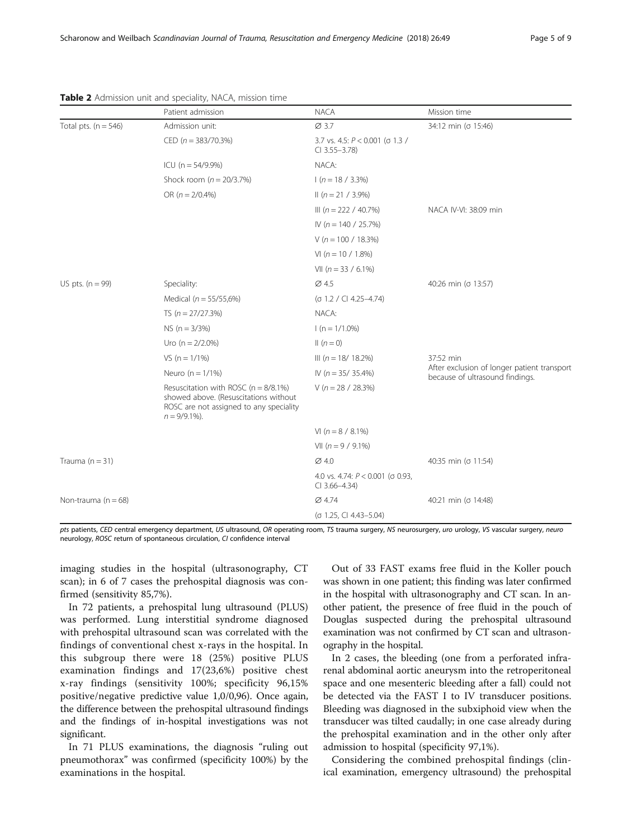|                          | Patient admission                                                                                                                                 | <b>NACA</b>                                                 | Mission time                                                                                |  |  |
|--------------------------|---------------------------------------------------------------------------------------------------------------------------------------------------|-------------------------------------------------------------|---------------------------------------------------------------------------------------------|--|--|
| Total pts. ( $n = 546$ ) | Admission unit:                                                                                                                                   | $\varnothing$ 3.7                                           | 34:12 min (o 15:46)                                                                         |  |  |
|                          | CED ( $n = 383/70.3\%$ )                                                                                                                          | 3.7 vs. 4.5: $P < 0.001$ (o 1.3 /<br>$Cl$ 3.55-3.78)        |                                                                                             |  |  |
|                          | ICU ( $n = 54/9.9%$ )                                                                                                                             | NACA:<br>$1(n = 18 / 3.3\%)$<br>$\parallel$ (n = 21 / 3.9%) |                                                                                             |  |  |
|                          | Shock room ( $n = 20/3.7\%)$                                                                                                                      |                                                             |                                                                                             |  |  |
|                          | OR $(n = 2/0.4\%)$                                                                                                                                |                                                             |                                                                                             |  |  |
|                          |                                                                                                                                                   | III ( $n = 222 / 40.7\%)$                                   | NACA IV-VI: 38:09 min                                                                       |  |  |
|                          |                                                                                                                                                   | IV ( $n = 140 / 25.7\%$ )                                   |                                                                                             |  |  |
|                          |                                                                                                                                                   | $V(n = 100 / 18.3%)$                                        |                                                                                             |  |  |
|                          |                                                                                                                                                   | VI $(n = 10 / 1.8\%)$                                       |                                                                                             |  |  |
|                          |                                                                                                                                                   | VII ( $n = 33 / 6.1\%$ )                                    |                                                                                             |  |  |
| US pts. $(n = 99)$       | Speciality:                                                                                                                                       | $\varnothing$ 4.5                                           | 40:26 min (σ 13:57)                                                                         |  |  |
|                          | Medical ( $n = 55/55,6%$ )                                                                                                                        | $( \sigma$ 1.2 / CI 4.25-4.74)                              |                                                                                             |  |  |
|                          | TS $(n = 27/27.3%)$                                                                                                                               | NACA:<br>$1(n = 1/1.0\%)$                                   |                                                                                             |  |  |
|                          | $NS (n = 3/3%)$                                                                                                                                   |                                                             |                                                                                             |  |  |
|                          | Uro ( $n = 2/2.0\%)$                                                                                                                              | $\ln(n=0)$                                                  |                                                                                             |  |  |
|                          | VS $(n = 1/1\%)$                                                                                                                                  | III ( $n = 18/18.2\%)$                                      | 37:52 min<br>After exclusion of longer patient transport<br>because of ultrasound findings. |  |  |
|                          | Neuro ( $n = 1/1\%$ )                                                                                                                             | IV ( $n = 35/35.4\%$ )                                      |                                                                                             |  |  |
|                          | Resuscitation with ROSC ( $n = 8/8.1\%$ )<br>showed above. (Resuscitations without<br>ROSC are not assigned to any speciality<br>$n = 9/9.1\%$ ). | $V(n = 28 / 28.3\%)$                                        |                                                                                             |  |  |
|                          |                                                                                                                                                   | VI $(n = 8 / 8.1\%)$                                        |                                                                                             |  |  |
|                          |                                                                                                                                                   | VII $(n = 9 / 9.1\%)$                                       |                                                                                             |  |  |
| Trauma $(n = 31)$        |                                                                                                                                                   | $\varnothing$ 4.0                                           | 40:35 min (σ 11:54)                                                                         |  |  |
|                          |                                                                                                                                                   | 4.0 vs. 4.74: $P < 0.001$ (o 0.93,<br>$Cl$ 3.66-4.34)       |                                                                                             |  |  |
| Non-trauma ( $n = 68$ )  |                                                                                                                                                   | Ø 4.74                                                      | 40:21 min (σ 14:48)                                                                         |  |  |
|                          |                                                                                                                                                   | (σ 1.25, CI 4.43-5.04)                                      |                                                                                             |  |  |

#### <span id="page-4-0"></span>Table 2 Admission unit and speciality, NACA, mission time

pts patients, CED central emergency department, US ultrasound, OR operating room, TS trauma surgery, NS neurosurgery, uro urology, VS vascular surgery, neuro neurology, ROSC return of spontaneous circulation, CI confidence interval

imaging studies in the hospital (ultrasonography, CT scan); in 6 of 7 cases the prehospital diagnosis was confirmed (sensitivity 85,7%).

In 72 patients, a prehospital lung ultrasound (PLUS) was performed. Lung interstitial syndrome diagnosed with prehospital ultrasound scan was correlated with the findings of conventional chest x-rays in the hospital. In this subgroup there were 18 (25%) positive PLUS examination findings and 17(23,6%) positive chest x-ray findings (sensitivity 100%; specificity 96,15% positive/negative predictive value 1,0/0,96). Once again, the difference between the prehospital ultrasound findings and the findings of in-hospital investigations was not significant.

In 71 PLUS examinations, the diagnosis "ruling out pneumothorax" was confirmed (specificity 100%) by the examinations in the hospital.

Out of 33 FAST exams free fluid in the Koller pouch was shown in one patient; this finding was later confirmed in the hospital with ultrasonography and CT scan. In another patient, the presence of free fluid in the pouch of Douglas suspected during the prehospital ultrasound examination was not confirmed by CT scan and ultrasonography in the hospital.

In 2 cases, the bleeding (one from a perforated infrarenal abdominal aortic aneurysm into the retroperitoneal space and one mesenteric bleeding after a fall) could not be detected via the FAST I to IV transducer positions. Bleeding was diagnosed in the subxiphoid view when the transducer was tilted caudally; in one case already during the prehospital examination and in the other only after admission to hospital (specificity 97,1%).

Considering the combined prehospital findings (clinical examination, emergency ultrasound) the prehospital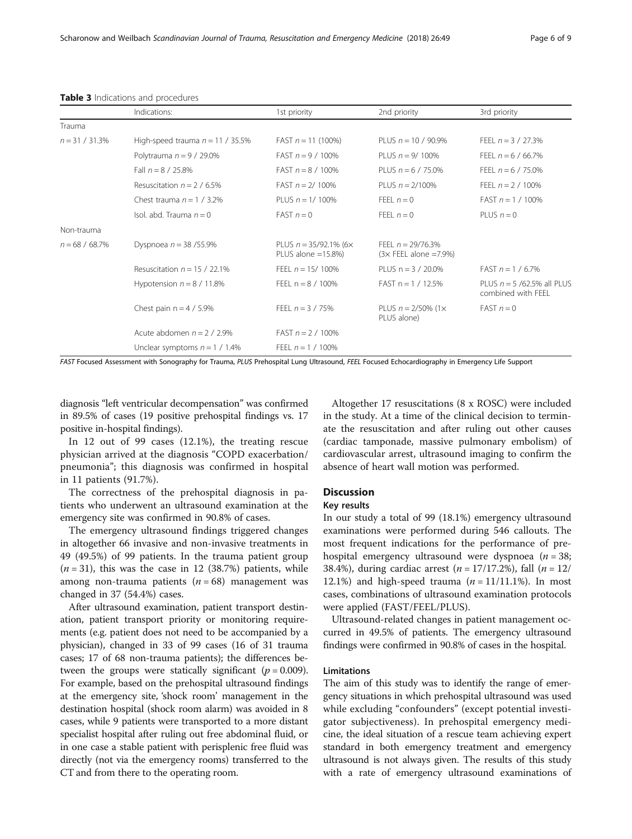<span id="page-5-0"></span>

| <b>Table 3</b> Indications and procedures |
|-------------------------------------------|
|-------------------------------------------|

|                   | Indications:                        | 1st priority                                               | 2nd priority                                         | 3rd priority                                       |
|-------------------|-------------------------------------|------------------------------------------------------------|------------------------------------------------------|----------------------------------------------------|
| Trauma            |                                     |                                                            |                                                      |                                                    |
| $n = 31 / 31.3\%$ | High-speed trauma $n = 11 / 35.5\%$ | FAST $n = 11$ (100%)                                       | PLUS $n = 10 / 90.9\%$                               | FEEL $n = 3 / 27.3%$                               |
|                   | Polytrauma $n = 9 / 29.0\%$         | FAST $n = 9 / 100\%$                                       | PLUS $n = 9/100\%$                                   | FEEL $n = 6 / 66.7\%$                              |
|                   | Fall $n = 8 / 25.8\%$               | FAST $n = 8 / 100\%$                                       | PLUS $n = 6 / 75.0\%$                                | FEEL $n = 6 / 75.0\%$                              |
|                   | Resuscitation $n = 2 / 6.5\%$       | FAST $n = 2/100\%$                                         | PLUS $n = 2/100\%$                                   | FEEL $n = 2 / 100\%$                               |
|                   | Chest trauma $n = 1 / 3.2\%$        | PLUS $n = 1/100\%$                                         | FEEL $n = 0$                                         | FAST $n = 1 / 100\%$                               |
|                   | Isol. abd. Trauma $n = 0$           | $FAST n = 0$                                               | FFFI $n=0$                                           | PLUS $n = 0$                                       |
| Non-trauma        |                                     |                                                            |                                                      |                                                    |
| $n = 68 / 68.7\%$ | Dyspnoea $n = 38/55.9%$             | PLUS $n = 35/92.1\%$ (6 $\times$<br>PLUS alone $=15.8\%$ ) | FEEL $n = 29/76.3%$<br>$(3 \times$ FEEL alone =7.9%) |                                                    |
|                   | Resuscitation $n = 15 / 22.1\%$     | FEEL $n = 15/100\%$                                        | PLUS $n = 3 / 20.0\%$                                | FAST $n = 1 / 6.7\%$                               |
|                   | Hypotension $n = 8 / 11.8\%$        | FEEL $n = 8 / 100\%$                                       | $FAST n = 1 / 12.5%$                                 | PLUS $n = 5$ /62.5% all PLUS<br>combined with FEEL |
|                   | Chest pain $n = 4 / 5.9%$           | FEEL $n = 3 / 75%$                                         | PLUS $n = 2/50\%$ (1 $\times$<br>PLUS alone)         | $FAST n = 0$                                       |
|                   | Acute abdomen $n = 2 / 2.9\%$       | FAST $n = 2 / 100\%$                                       |                                                      |                                                    |
|                   | Unclear symptoms $n = 1 / 1.4\%$    | FEEL $n = 1 / 100\%$                                       |                                                      |                                                    |

FAST Focused Assessment with Sonography for Trauma, PLUS Prehospital Lung Ultrasound, FEEL Focused Echocardiography in Emergency Life Support

diagnosis "left ventricular decompensation" was confirmed in 89.5% of cases (19 positive prehospital findings vs. 17 positive in-hospital findings).

In 12 out of 99 cases (12.1%), the treating rescue physician arrived at the diagnosis "COPD exacerbation/ pneumonia"; this diagnosis was confirmed in hospital in 11 patients (91.7%).

The correctness of the prehospital diagnosis in patients who underwent an ultrasound examination at the emergency site was confirmed in 90.8% of cases.

The emergency ultrasound findings triggered changes in altogether 66 invasive and non-invasive treatments in 49 (49.5%) of 99 patients. In the trauma patient group  $(n = 31)$ , this was the case in 12 (38.7%) patients, while among non-trauma patients ( $n = 68$ ) management was changed in 37 (54.4%) cases.

After ultrasound examination, patient transport destination, patient transport priority or monitoring requirements (e.g. patient does not need to be accompanied by a physician), changed in 33 of 99 cases (16 of 31 trauma cases; 17 of 68 non-trauma patients); the differences between the groups were statically significant ( $p = 0.009$ ). For example, based on the prehospital ultrasound findings at the emergency site, 'shock room' management in the destination hospital (shock room alarm) was avoided in 8 cases, while 9 patients were transported to a more distant specialist hospital after ruling out free abdominal fluid, or in one case a stable patient with perisplenic free fluid was directly (not via the emergency rooms) transferred to the CT and from there to the operating room.

Altogether 17 resuscitations (8 x ROSC) were included in the study. At a time of the clinical decision to terminate the resuscitation and after ruling out other causes (cardiac tamponade, massive pulmonary embolism) of cardiovascular arrest, ultrasound imaging to confirm the absence of heart wall motion was performed.

# **Discussion**

# Key results

In our study a total of 99 (18.1%) emergency ultrasound examinations were performed during 546 callouts. The most frequent indications for the performance of prehospital emergency ultrasound were dyspnoea  $(n = 38)$ ; 38.4%), during cardiac arrest ( $n = 17/17.2$ %), fall ( $n = 12/$ 12.1%) and high-speed trauma  $(n = 11/11.1\%)$ . In most cases, combinations of ultrasound examination protocols were applied (FAST/FEEL/PLUS).

Ultrasound-related changes in patient management occurred in 49.5% of patients. The emergency ultrasound findings were confirmed in 90.8% of cases in the hospital.

# Limitations

The aim of this study was to identify the range of emergency situations in which prehospital ultrasound was used while excluding "confounders" (except potential investigator subjectiveness). In prehospital emergency medicine, the ideal situation of a rescue team achieving expert standard in both emergency treatment and emergency ultrasound is not always given. The results of this study with a rate of emergency ultrasound examinations of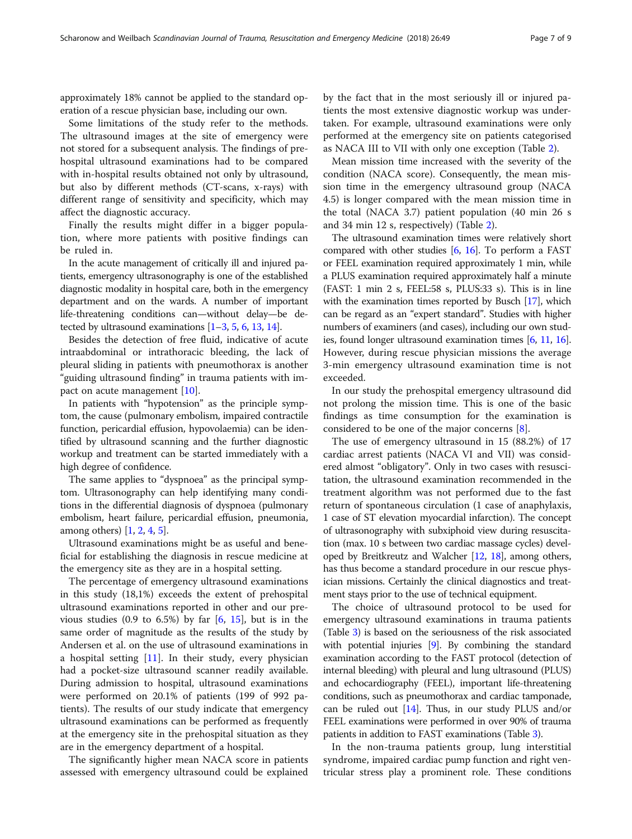approximately 18% cannot be applied to the standard operation of a rescue physician base, including our own.

Some limitations of the study refer to the methods. The ultrasound images at the site of emergency were not stored for a subsequent analysis. The findings of prehospital ultrasound examinations had to be compared with in-hospital results obtained not only by ultrasound, but also by different methods (CT-scans, x-rays) with different range of sensitivity and specificity, which may affect the diagnostic accuracy.

Finally the results might differ in a bigger population, where more patients with positive findings can be ruled in.

In the acute management of critically ill and injured patients, emergency ultrasonography is one of the established diagnostic modality in hospital care, both in the emergency department and on the wards. A number of important life-threatening conditions can—without delay—be detected by ultrasound examinations [\[1](#page-8-0)–[3,](#page-8-0) [5](#page-8-0), [6,](#page-8-0) [13,](#page-8-0) [14\]](#page-8-0).

Besides the detection of free fluid, indicative of acute intraabdominal or intrathoracic bleeding, the lack of pleural sliding in patients with pneumothorax is another "guiding ultrasound finding" in trauma patients with impact on acute management [[10\]](#page-8-0).

In patients with "hypotension" as the principle symptom, the cause (pulmonary embolism, impaired contractile function, pericardial effusion, hypovolaemia) can be identified by ultrasound scanning and the further diagnostic workup and treatment can be started immediately with a high degree of confidence.

The same applies to "dyspnoea" as the principal symptom. Ultrasonography can help identifying many conditions in the differential diagnosis of dyspnoea (pulmonary embolism, heart failure, pericardial effusion, pneumonia, among others) [\[1](#page-8-0), [2,](#page-8-0) [4](#page-8-0), [5\]](#page-8-0).

Ultrasound examinations might be as useful and beneficial for establishing the diagnosis in rescue medicine at the emergency site as they are in a hospital setting.

The percentage of emergency ultrasound examinations in this study (18,1%) exceeds the extent of prehospital ultrasound examinations reported in other and our previous studies  $(0.9 \text{ to } 6.5\%)$  by far  $[6, 15]$  $[6, 15]$  $[6, 15]$  $[6, 15]$ , but is in the same order of magnitude as the results of the study by Andersen et al. on the use of ultrasound examinations in a hospital setting [[11\]](#page-8-0). In their study, every physician had a pocket-size ultrasound scanner readily available. During admission to hospital, ultrasound examinations were performed on 20.1% of patients (199 of 992 patients). The results of our study indicate that emergency ultrasound examinations can be performed as frequently at the emergency site in the prehospital situation as they are in the emergency department of a hospital.

The significantly higher mean NACA score in patients assessed with emergency ultrasound could be explained by the fact that in the most seriously ill or injured patients the most extensive diagnostic workup was undertaken. For example, ultrasound examinations were only performed at the emergency site on patients categorised as NACA III to VII with only one exception (Table [2\)](#page-4-0).

Mean mission time increased with the severity of the condition (NACA score). Consequently, the mean mission time in the emergency ultrasound group (NACA 4.5) is longer compared with the mean mission time in the total (NACA 3.7) patient population (40 min 26 s and 34 min 12 s, respectively) (Table [2](#page-4-0)).

The ultrasound examination times were relatively short compared with other studies [[6,](#page-8-0) [16\]](#page-8-0). To perform a FAST or FEEL examination required approximately 1 min, while a PLUS examination required approximately half a minute (FAST: 1 min 2 s, FEEL:58 s, PLUS:33 s). This is in line with the examination times reported by Busch [\[17](#page-8-0)], which can be regard as an "expert standard". Studies with higher numbers of examiners (and cases), including our own studies, found longer ultrasound examination times [\[6](#page-8-0), [11,](#page-8-0) [16](#page-8-0)]. However, during rescue physician missions the average 3-min emergency ultrasound examination time is not exceeded.

In our study the prehospital emergency ultrasound did not prolong the mission time. This is one of the basic findings as time consumption for the examination is considered to be one of the major concerns [[8\]](#page-8-0).

The use of emergency ultrasound in 15 (88.2%) of 17 cardiac arrest patients (NACA VI and VII) was considered almost "obligatory". Only in two cases with resuscitation, the ultrasound examination recommended in the treatment algorithm was not performed due to the fast return of spontaneous circulation (1 case of anaphylaxis, 1 case of ST elevation myocardial infarction). The concept of ultrasonography with subxiphoid view during resuscitation (max. 10 s between two cardiac massage cycles) developed by Breitkreutz and Walcher [\[12,](#page-8-0) [18](#page-8-0)], among others, has thus become a standard procedure in our rescue physician missions. Certainly the clinical diagnostics and treatment stays prior to the use of technical equipment.

The choice of ultrasound protocol to be used for emergency ultrasound examinations in trauma patients (Table [3](#page-5-0)) is based on the seriousness of the risk associated with potential injuries [\[9](#page-8-0)]. By combining the standard examination according to the FAST protocol (detection of internal bleeding) with pleural and lung ultrasound (PLUS) and echocardiography (FEEL), important life-threatening conditions, such as pneumothorax and cardiac tamponade, can be ruled out [[14](#page-8-0)]. Thus, in our study PLUS and/or FEEL examinations were performed in over 90% of trauma patients in addition to FAST examinations (Table [3\)](#page-5-0).

In the non-trauma patients group, lung interstitial syndrome, impaired cardiac pump function and right ventricular stress play a prominent role. These conditions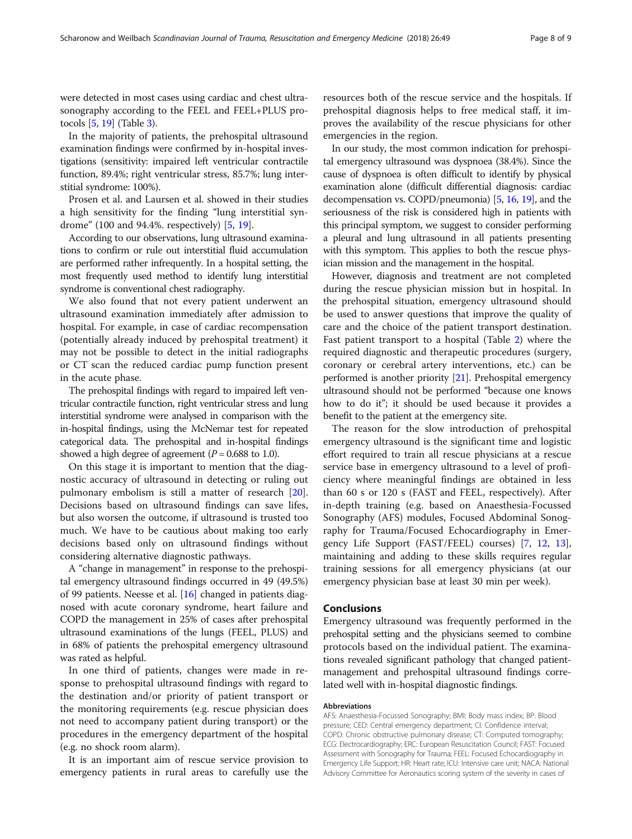were detected in most cases using cardiac and chest ultrasonography according to the FEEL and FEEL+PLUS protocols [\[5,](#page-8-0) [19](#page-8-0)] (Table [3](#page-5-0)).

In the majority of patients, the prehospital ultrasound examination findings were confirmed by in-hospital investigations (sensitivity: impaired left ventricular contractile function, 89.4%; right ventricular stress, 85.7%; lung interstitial syndrome: 100%).

Prosen et al. and Laursen et al. showed in their studies a high sensitivity for the finding "lung interstitial syndrome" (100 and 94.4%. respectively) [\[5](#page-8-0), [19](#page-8-0)].

According to our observations, lung ultrasound examinations to confirm or rule out interstitial fluid accumulation are performed rather infrequently. In a hospital setting, the most frequently used method to identify lung interstitial syndrome is conventional chest radiography.

We also found that not every patient underwent an ultrasound examination immediately after admission to hospital. For example, in case of cardiac recompensation (potentially already induced by prehospital treatment) it may not be possible to detect in the initial radiographs or CT scan the reduced cardiac pump function present in the acute phase.

The prehospital findings with regard to impaired left ventricular contractile function, right ventricular stress and lung interstitial syndrome were analysed in comparison with the in-hospital findings, using the McNemar test for repeated categorical data. The prehospital and in-hospital findings showed a high degree of agreement ( $P = 0.688$  to 1.0).

On this stage it is important to mention that the diagnostic accuracy of ultrasound in detecting or ruling out pulmonary embolism is still a matter of research [\[20](#page-8-0)]. Decisions based on ultrasound findings can save lifes, but also worsen the outcome, if ultrasound is trusted too much. We have to be cautious about making too early decisions based only on ultrasound findings without considering alternative diagnostic pathways.

A "change in management" in response to the prehospital emergency ultrasound findings occurred in 49 (49.5%) of 99 patients. Neesse et al. [\[16\]](#page-8-0) changed in patients diagnosed with acute coronary syndrome, heart failure and COPD the management in 25% of cases after prehospital ultrasound examinations of the lungs (FEEL, PLUS) and in 68% of patients the prehospital emergency ultrasound was rated as helpful.

In one third of patients, changes were made in response to prehospital ultrasound findings with regard to the destination and/or priority of patient transport or the monitoring requirements (e.g. rescue physician does not need to accompany patient during transport) or the procedures in the emergency department of the hospital (e.g. no shock room alarm).

It is an important aim of rescue service provision to emergency patients in rural areas to carefully use the resources both of the rescue service and the hospitals. If prehospital diagnosis helps to free medical staff, it improves the availability of the rescue physicians for other emergencies in the region.

In our study, the most common indication for prehospital emergency ultrasound was dyspnoea (38.4%). Since the cause of dyspnoea is often difficult to identify by physical examination alone (difficult differential diagnosis: cardiac decompensation vs. COPD/pneumonia) [\[5,](#page-8-0) [16,](#page-8-0) [19](#page-8-0)], and the seriousness of the risk is considered high in patients with this principal symptom, we suggest to consider performing a pleural and lung ultrasound in all patients presenting with this symptom. This applies to both the rescue physician mission and the management in the hospital.

However, diagnosis and treatment are not completed during the rescue physician mission but in hospital. In the prehospital situation, emergency ultrasound should be used to answer questions that improve the quality of care and the choice of the patient transport destination. Fast patient transport to a hospital (Table [2\)](#page-4-0) where the required diagnostic and therapeutic procedures (surgery, coronary or cerebral artery interventions, etc.) can be performed is another priority [\[21\]](#page-8-0). Prehospital emergency ultrasound should not be performed "because one knows how to do it"; it should be used because it provides a benefit to the patient at the emergency site.

The reason for the slow introduction of prehospital emergency ultrasound is the significant time and logistic effort required to train all rescue physicians at a rescue service base in emergency ultrasound to a level of proficiency where meaningful findings are obtained in less than 60 s or 120 s (FAST and FEEL, respectively). After in-depth training (e.g. based on Anaesthesia-Focussed Sonography (AFS) modules, Focused Abdominal Sonography for Trauma/Focused Echocardiography in Emergency Life Support (FAST/FEEL) courses) [[7,](#page-8-0) [12](#page-8-0), [13](#page-8-0)], maintaining and adding to these skills requires regular training sessions for all emergency physicians (at our emergency physician base at least 30 min per week).

### Conclusions

Emergency ultrasound was frequently performed in the prehospital setting and the physicians seemed to combine protocols based on the individual patient. The examinations revealed significant pathology that changed patientmanagement and prehospital ultrasound findings correlated well with in-hospital diagnostic findings.

#### Abbreviations

AFS: Anaesthesia-Focussed Sonography; BMI: Body mass index; BP: Blood pressure; CED: Central emergency department; CI: Confidence interval; COPD: Chronic obstructive pulmonary disease; CT: Computed tomography; ECG: Electrocardiography; ERC: European Resuscitation Council; FAST: Focused Assessment with Sonography for Trauma; FEEL: Focused Echocardiography in Emergency Life Support; HR: Heart rate; ICU: Intensive care unit; NACA: National Advisory Committee for Aeronautics scoring system of the severity in cases of